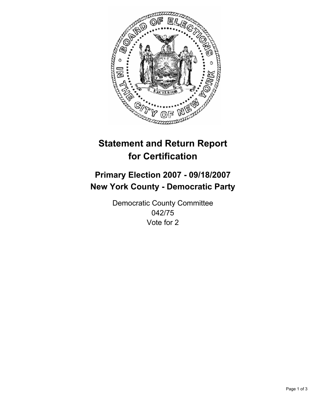

# **Statement and Return Report for Certification**

## **Primary Election 2007 - 09/18/2007 New York County - Democratic Party**

Democratic County Committee 042/75 Vote for 2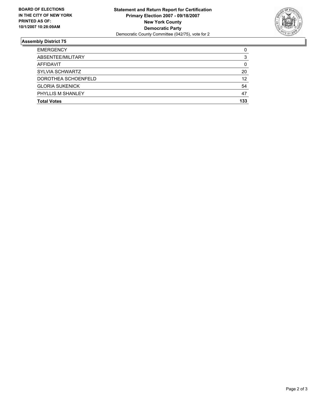

### **Assembly District 75**

| <b>Total Votes</b>     | 133 |
|------------------------|-----|
| PHYLLIS M SHANLEY      | 47  |
| <b>GLORIA SUKENICK</b> | 54  |
| DOROTHEA SCHOENFELD    | 12  |
| SYLVIA SCHWARTZ        | 20  |
| AFFIDAVIT              |     |
| ABSENTEE/MILITARY      |     |
| <b>EMERGENCY</b>       |     |